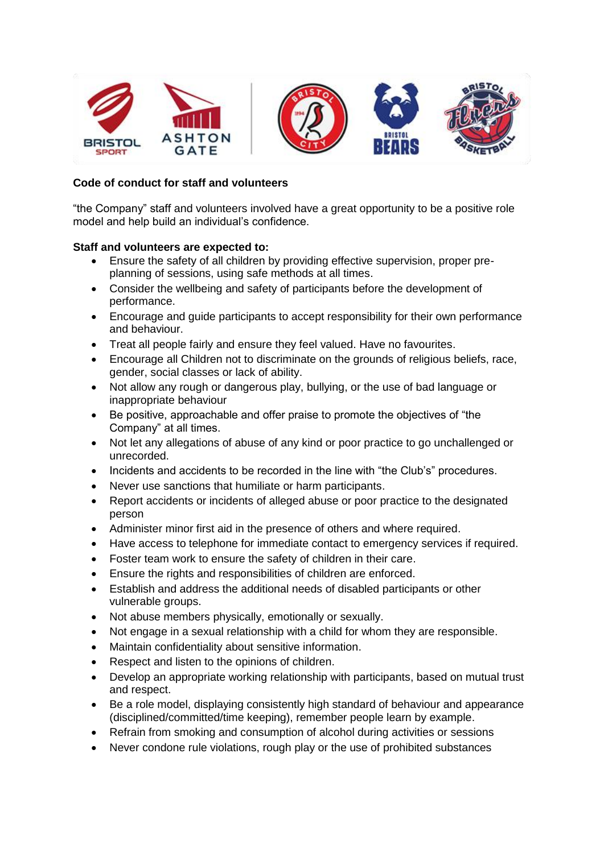

## **Code of conduct for staff and volunteers**

"the Company" staff and volunteers involved have a great opportunity to be a positive role model and help build an individual's confidence.

## **Staff and volunteers are expected to:**

- Ensure the safety of all children by providing effective supervision, proper preplanning of sessions, using safe methods at all times.
- Consider the wellbeing and safety of participants before the development of performance.
- Encourage and guide participants to accept responsibility for their own performance and behaviour.
- Treat all people fairly and ensure they feel valued. Have no favourites.
- Encourage all Children not to discriminate on the grounds of religious beliefs, race, gender, social classes or lack of ability.
- Not allow any rough or dangerous play, bullying, or the use of bad language or inappropriate behaviour
- Be positive, approachable and offer praise to promote the objectives of "the Company" at all times.
- Not let any allegations of abuse of any kind or poor practice to go unchallenged or unrecorded.
- Incidents and accidents to be recorded in the line with "the Club's" procedures.
- Never use sanctions that humiliate or harm participants.
- Report accidents or incidents of alleged abuse or poor practice to the designated person
- Administer minor first aid in the presence of others and where required.
- Have access to telephone for immediate contact to emergency services if required.
- Foster team work to ensure the safety of children in their care.
- Ensure the rights and responsibilities of children are enforced.
- Establish and address the additional needs of disabled participants or other vulnerable groups.
- Not abuse members physically, emotionally or sexually.
- Not engage in a sexual relationship with a child for whom they are responsible.
- Maintain confidentiality about sensitive information.
- Respect and listen to the opinions of children.
- Develop an appropriate working relationship with participants, based on mutual trust and respect.
- Be a role model, displaying consistently high standard of behaviour and appearance (disciplined/committed/time keeping), remember people learn by example.
- Refrain from smoking and consumption of alcohol during activities or sessions
- Never condone rule violations, rough play or the use of prohibited substances